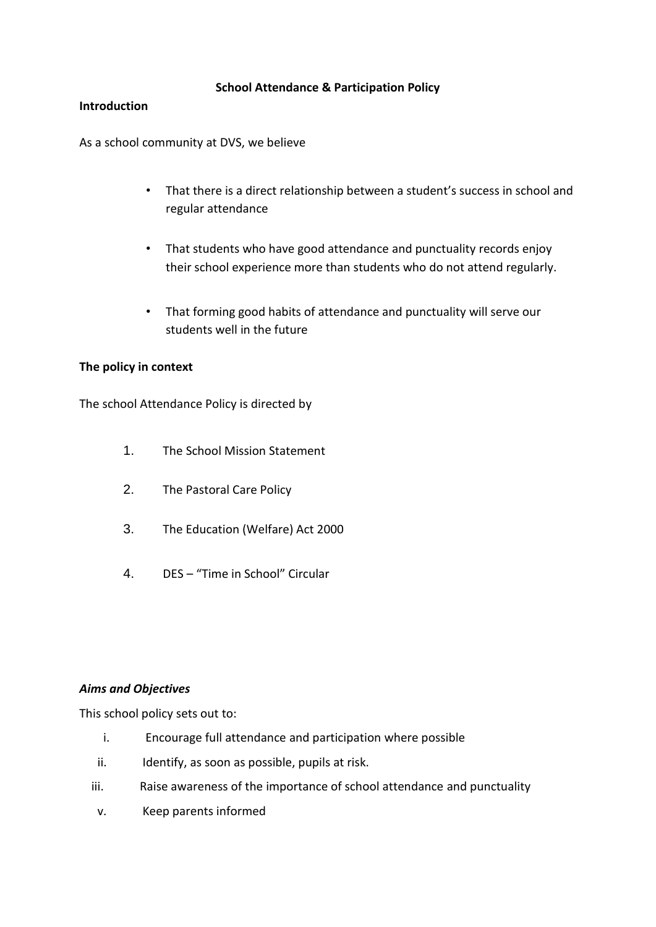## **School Attendance & Participation Policy**

### **Introduction**

As a school community at DVS, we believe

- That there is a direct relationship between a student's success in school and regular attendance
- That students who have good attendance and punctuality records enjoy their school experience more than students who do not attend regularly.
- That forming good habits of attendance and punctuality will serve our students well in the future

## **The policy in context**

The school Attendance Policy is directed by

- 1. The School Mission Statement
- 2. The Pastoral Care Policy
- 3. The Education (Welfare) Act 2000
- 4. DES "Time in School" Circular

#### *Aims and Objectives*

This school policy sets out to:

- i. Encourage full attendance and participation where possible
- ii. Identify, as soon as possible, pupils at risk.
- iii. Raise awareness of the importance of school attendance and punctuality
- v. Keep parents informed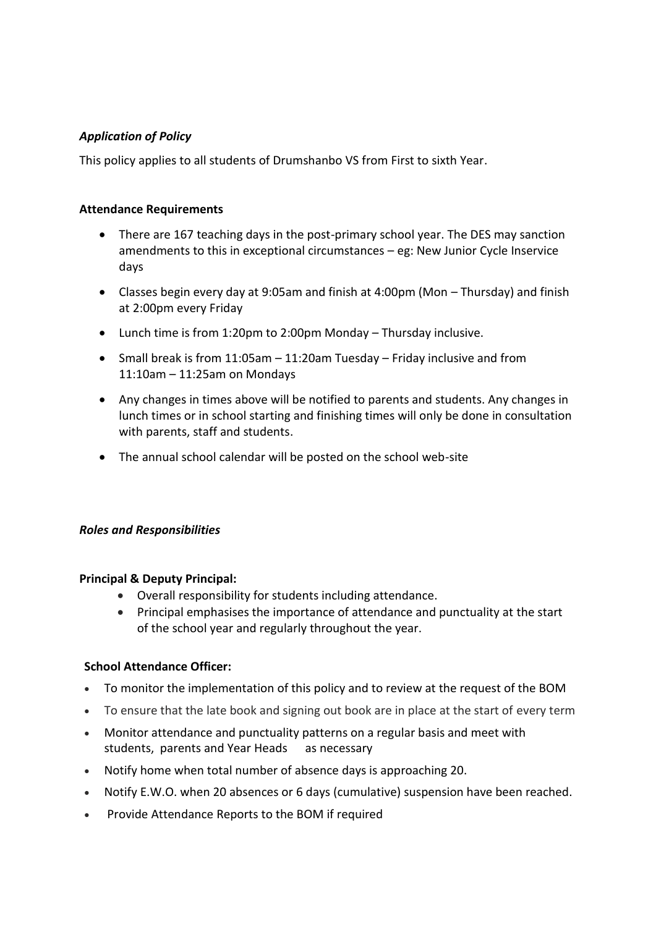# *Application of Policy*

This policy applies to all students of Drumshanbo VS from First to sixth Year.

## **Attendance Requirements**

- There are 167 teaching days in the post-primary school year. The DES may sanction amendments to this in exceptional circumstances – eg: New Junior Cycle Inservice days
- Classes begin every day at 9:05am and finish at 4:00pm (Mon Thursday) and finish at 2:00pm every Friday
- Lunch time is from 1:20pm to 2:00pm Monday Thursday inclusive.
- Small break is from  $11:05$ am  $-11:20$ am Tuesday Friday inclusive and from 11:10am – 11:25am on Mondays
- Any changes in times above will be notified to parents and students. Any changes in lunch times or in school starting and finishing times will only be done in consultation with parents, staff and students.
- The annual school calendar will be posted on the school web-site

# *Roles and Responsibilities*

#### **Principal & Deputy Principal:**

- Overall responsibility for students including attendance.
- Principal emphasises the importance of attendance and punctuality at the start of the school year and regularly throughout the year.

# **School Attendance Officer:**

- To monitor the implementation of this policy and to review at the request of the BOM
- To ensure that the late book and signing out book are in place at the start of every term
- Monitor attendance and punctuality patterns on a regular basis and meet with students, parents and Year Heads as necessary
- Notify home when total number of absence days is approaching 20.
- Notify E.W.O. when 20 absences or 6 days (cumulative) suspension have been reached.
- Provide Attendance Reports to the BOM if required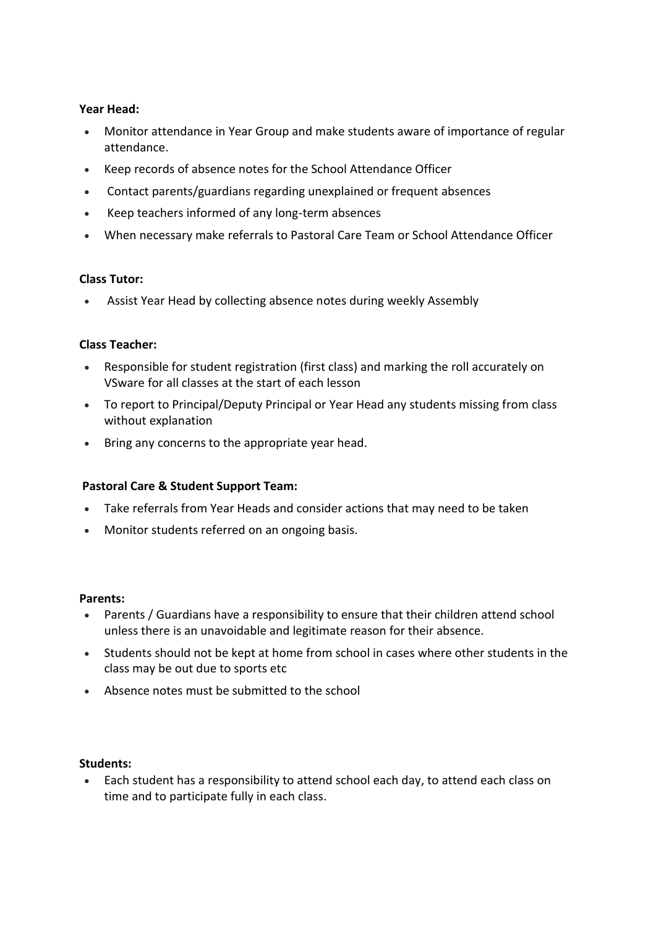## **Year Head:**

- Monitor attendance in Year Group and make students aware of importance of regular attendance.
- Keep records of absence notes for the School Attendance Officer
- Contact parents/guardians regarding unexplained or frequent absences
- Keep teachers informed of any long-term absences
- When necessary make referrals to Pastoral Care Team or School Attendance Officer

## **Class Tutor:**

Assist Year Head by collecting absence notes during weekly Assembly

## **Class Teacher:**

- Responsible for student registration (first class) and marking the roll accurately on VSware for all classes at the start of each lesson
- To report to Principal/Deputy Principal or Year Head any students missing from class without explanation
- Bring any concerns to the appropriate year head.

# **Pastoral Care & Student Support Team:**

- Take referrals from Year Heads and consider actions that may need to be taken
- Monitor students referred on an ongoing basis.

#### **Parents:**

- Parents / Guardians have a responsibility to ensure that their children attend school unless there is an unavoidable and legitimate reason for their absence.
- Students should not be kept at home from school in cases where other students in the class may be out due to sports etc
- Absence notes must be submitted to the school

#### **Students:**

 Each student has a responsibility to attend school each day, to attend each class on time and to participate fully in each class.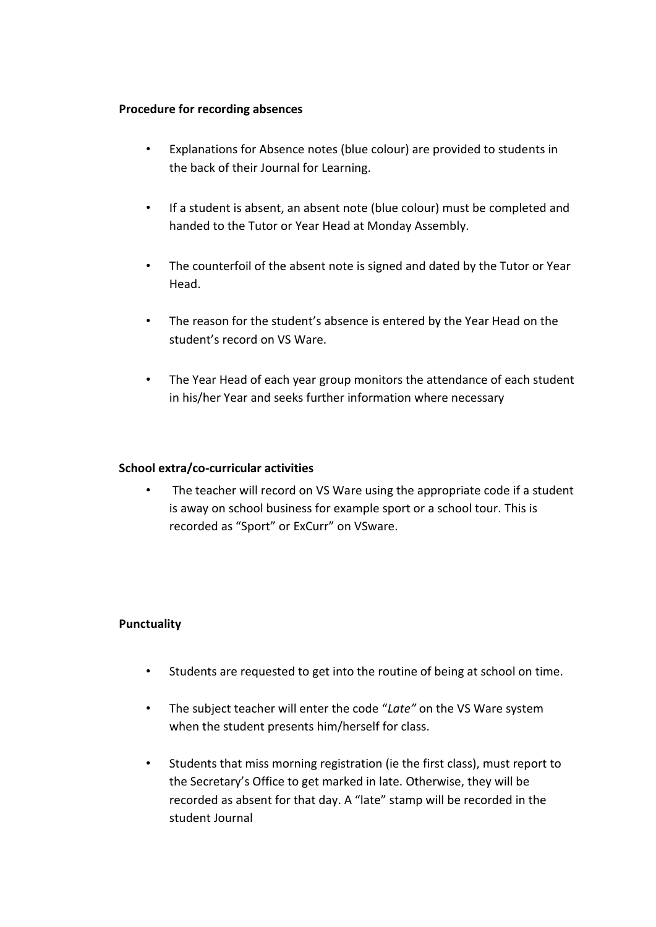#### **Procedure for recording absences**

- Explanations for Absence notes (blue colour) are provided to students in the back of their Journal for Learning.
- If a student is absent, an absent note (blue colour) must be completed and handed to the Tutor or Year Head at Monday Assembly.
- The counterfoil of the absent note is signed and dated by the Tutor or Year Head.
- The reason for the student's absence is entered by the Year Head on the student's record on VS Ware.
- The Year Head of each year group monitors the attendance of each student in his/her Year and seeks further information where necessary

### **School extra/co-curricular activities**

• The teacher will record on VS Ware using the appropriate code if a student is away on school business for example sport or a school tour. This is recorded as "Sport" or ExCurr" on VSware.

#### **Punctuality**

- Students are requested to get into the routine of being at school on time.
- The subject teacher will enter the code "*Late"* on the VS Ware system when the student presents him/herself for class.
- Students that miss morning registration (ie the first class), must report to the Secretary's Office to get marked in late. Otherwise, they will be recorded as absent for that day. A "late" stamp will be recorded in the student Journal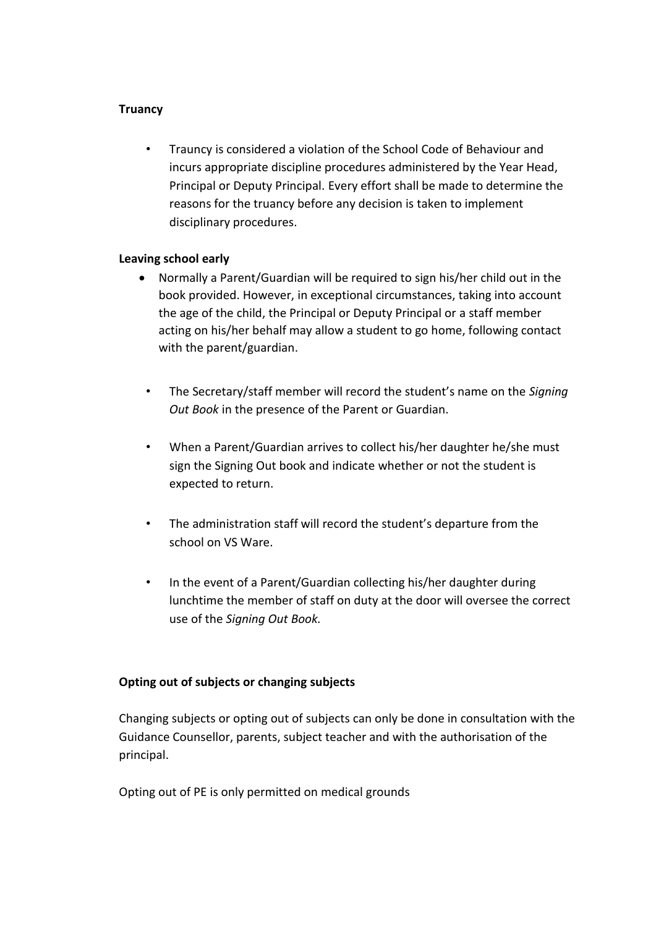### **Truancy**

• Trauncy is considered a violation of the School Code of Behaviour and incurs appropriate discipline procedures administered by the Year Head, Principal or Deputy Principal. Every effort shall be made to determine the reasons for the truancy before any decision is taken to implement disciplinary procedures.

#### **Leaving school early**

- Normally a Parent/Guardian will be required to sign his/her child out in the book provided. However, in exceptional circumstances, taking into account the age of the child, the Principal or Deputy Principal or a staff member acting on his/her behalf may allow a student to go home, following contact with the parent/guardian.
	- The Secretary/staff member will record the student's name on the *Signing Out Book* in the presence of the Parent or Guardian.
	- When a Parent/Guardian arrives to collect his/her daughter he/she must sign the Signing Out book and indicate whether or not the student is expected to return.
- The administration staff will record the student's departure from the school on VS Ware.
- In the event of a Parent/Guardian collecting his/her daughter during lunchtime the member of staff on duty at the door will oversee the correct use of the *Signing Out Book.*

# **Opting out of subjects or changing subjects**

Changing subjects or opting out of subjects can only be done in consultation with the Guidance Counsellor, parents, subject teacher and with the authorisation of the principal.

Opting out of PE is only permitted on medical grounds